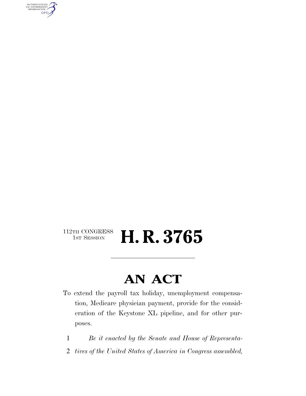AUTHENTICATED<br>U.S. GOVERNMENT<br>INFORMATION GPO

### $\begin{array}{c} \textbf{112TH CONGRESS} \\ \textbf{1ST SESION} \end{array}$ H. R. 3765

### **AN ACT**

- To extend the payroll tax holiday, unemployment compensation, Medicare physician payment, provide for the consideration of the Keystone XL pipeline, and for other purposes.
	- 1 *Be it enacted by the Senate and House of Representa-*
- 2 *tives of the United States of America in Congress assembled,*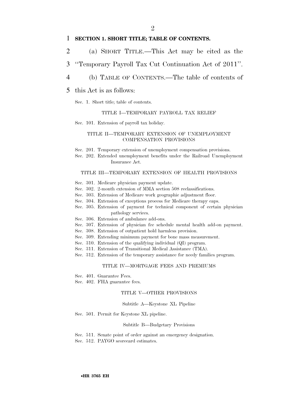#### 1 **SECTION 1. SHORT TITLE; TABLE OF CONTENTS.**

- 2 (a) SHORT TITLE.—This Act may be cited as the
- 3 ''Temporary Payroll Tax Cut Continuation Act of 2011''.
- 4 (b) TABLE OF CONTENTS.—The table of contents of
- 5 this Act is as follows:

Sec. 1. Short title; table of contents.

#### TITLE I—TEMPORARY PAYROLL TAX RELIEF

Sec. 101. Extension of payroll tax holiday.

#### TITLE II—TEMPORARY EXTENSION OF UNEMPLOYMENT COMPENSATION PROVISIONS

Sec. 201. Temporary extension of unemployment compensation provisions.

Sec. 202. Extended unemployment benefits under the Railroad Unemployment Insurance Act.

#### TITLE III—TEMPORARY EXTENSION OF HEALTH PROVISIONS

- Sec. 301. Medicare physician payment update.
- Sec. 302. 2-month extension of MMA section 508 reclassifications.
- Sec. 303. Extension of Medicare work geographic adjustment floor.
- Sec. 304. Extension of exceptions process for Medicare therapy caps.
- Sec. 305. Extension of payment for technical component of certain physician pathology services.
- Sec. 306. Extension of ambulance add-ons.
- Sec. 307. Extension of physician fee schedule mental health add-on payment.
- Sec. 308. Extension of outpatient hold harmless provision.
- Sec. 309. Extending minimum payment for bone mass measurement.
- Sec. 310. Extension of the qualifying individual (QI) program.
- Sec. 311. Extension of Transitional Medical Assistance (TMA).
- Sec. 312. Extension of the temporary assistance for needy families program.

#### TITLE IV—MORTGAGE FEES AND PREMIUMS

- Sec. 401. Guarantee Fees.
- Sec. 402. FHA guarantee fees.

#### TITLE V—OTHER PROVISIONS

#### Subtitle A—Keystone XL Pipeline

Sec. 501. Permit for Keystone XL pipeline.

#### Subtitle B—Budgetary Provisions

Sec. 511. Senate point of order against an emergency designation. Sec. 512. PAYGO scorecard estimates.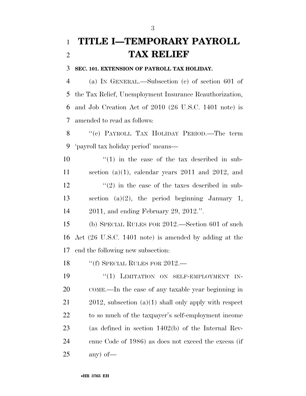### **TITLE I—TEMPORARY PAYROLL TAX RELIEF**

#### **SEC. 101. EXTENSION OF PAYROLL TAX HOLIDAY.**

 (a) IN GENERAL.—Subsection (c) of section 601 of the Tax Relief, Unemployment Insurance Reauthorization, and Job Creation Act of 2010 (26 U.S.C. 1401 note) is amended to read as follows:

8 "(c) PAYROLL TAX HOLIDAY PERIOD.—The term 'payroll tax holiday period' means—

 $\frac{10}{10}$  <sup>''</sup>(1) in the case of the tax described in sub-11 section (a)(1), calendar years 2011 and 2012, and  $\frac{12}{2}$  ''(2) in the case of the taxes described in sub- section (a)(2), the period beginning January 1, 2011, and ending February 29, 2012.''.

 (b) SPECIAL RULES FOR 2012.—Section 601 of such Act (26 U.S.C. 1401 note) is amended by adding at the end the following new subsection:

18 "(f) SPECIAL RULES FOR 2012.—

19 "(1) LIMITATION ON SELF-EMPLOYMENT IN- COME.—In the case of any taxable year beginning in 2012, subsection (a)(1) shall only apply with respect to so much of the taxpayer's self-employment income (as defined in section 1402(b) of the Internal Rev- enue Code of 1986) as does not exceed the excess (if any) of—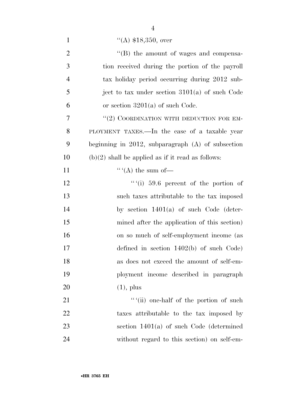| $\mathbf{1}$   | $(4)$ \$18,350, over                                |
|----------------|-----------------------------------------------------|
| $\mathfrak{2}$ | $\lq\lq$ the amount of wages and compensa-          |
| 3              | tion received during the portion of the payroll     |
| $\overline{4}$ | tax holiday period occurring during 2012 sub-       |
| 5              | ject to tax under section $3101(a)$ of such Code    |
| 6              | or section $3201(a)$ of such Code.                  |
| 7              | "(2) COORDINATION WITH DEDUCTION FOR EM-            |
| 8              | PLOYMENT TAXES.—In the case of a taxable year       |
| 9              | beginning in 2012, subparagraph $(A)$ of subsection |
| 10             | $(b)(2)$ shall be applied as if it read as follows: |
| 11             |                                                     |
| 12             | ""(i) $59.6$ percent of the portion of              |
| 13             | such taxes attributable to the tax imposed          |
| 14             | by section $1401(a)$ of such Code (deter-           |
| 15             | mined after the application of this section)        |
| 16             | on so much of self-employment income (as            |
| 17             | defined in section $1402(b)$ of such Code)          |
| 18             | as does not exceed the amount of self-em-           |
| 19             | ployment income described in paragraph              |
| 20             | $(1)$ , plus                                        |
| 21             | ""(ii) one-half of the portion of such              |
| 22             | taxes attributable to the tax imposed by            |
| 23             | section $1401(a)$ of such Code (determined          |
| 24             | without regard to this section) on self-em-         |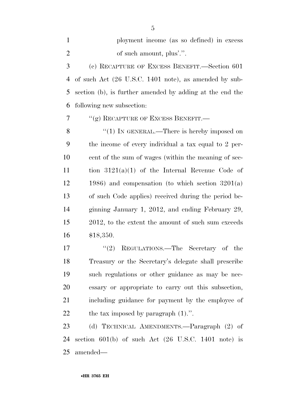ployment income (as so defined) in excess 2 of such amount, plus'.".

 (c) RECAPTURE OF EXCESS BENEFIT.—Section 601 of such Act (26 U.S.C. 1401 note), as amended by sub- section (b), is further amended by adding at the end the following new subsection:

7 <sup>''</sup>(g) RECAPTURE OF EXCESS BENEFIT.

8 "(1) IN GENERAL.—There is hereby imposed on the income of every individual a tax equal to 2 per- cent of the sum of wages (within the meaning of sec- tion 3121(a)(1) of the Internal Revenue Code of 1986) and compensation (to which section 3201(a) of such Code applies) received during the period be- ginning January 1, 2012, and ending February 29, 2012, to the extent the amount of such sum exceeds \$18,350.

17 ''(2) REGULATIONS.—The Secretary of the Treasury or the Secretary's delegate shall prescribe such regulations or other guidance as may be nec- essary or appropriate to carry out this subsection, including guidance for payment by the employee of 22 the tax imposed by paragraph  $(1)$ .".

 (d) TECHNICAL AMENDMENTS.—Paragraph (2) of section 601(b) of such Act (26 U.S.C. 1401 note) is amended—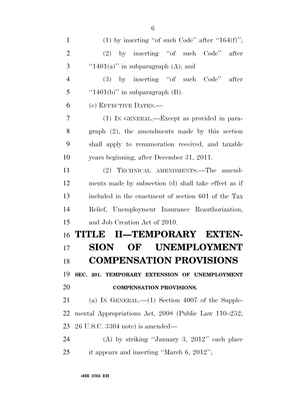| $\mathbf{1}$   | (1) by inserting "of such Code" after " $164(f)$ ";  |
|----------------|------------------------------------------------------|
| $\overline{2}$ | $(2)$ by inserting "of such Code"<br>after           |
| 3              | "1401(a)" in subparagraph $(A)$ ; and                |
| $\overline{4}$ | $(3)$ by inserting "of such Code"<br>after           |
| 5              | " $1401(b)$ " in subparagraph (B).                   |
| 6              | (e) EFFECTIVE DATES.-                                |
| $\overline{7}$ | (1) IN GENERAL.—Except as provided in para-          |
| 8              | $graph$ $(2)$ , the amendments made by this section  |
| 9              | shall apply to remuneration received, and taxable    |
| 10             | years beginning, after December 31, 2011.            |
| 11             | (2) TECHNICAL AMENDMENTS.—The amend-                 |
| 12             | ments made by subsection (d) shall take effect as if |
| 13             | included in the enactment of section 601 of the Tax  |
| 14             | Relief, Unemployment Insurance Reauthorization,      |
| 15             | and Job Creation Act of 2010.                        |
| 16             | TITLE II—TEMPORARY EXTEN-                            |
| 17             | <b>UNEMPLOYMENT</b><br><b>SION</b><br>$\bf{OF}$      |
| 18             | <b>COMPENSATION PROVISIONS</b>                       |
| 19             | SEC. 201. TEMPORARY EXTENSION OF UNEMPLOYMENT        |
| 20             | <b>COMPENSATION PROVISIONS.</b>                      |
| 21             | (a) IN GENERAL.— $(1)$ Section 4007 of the Supple-   |
| 22             | mental Appropriations Act, 2008 (Public Law 110–252; |
| 23             | $26$ U.S.C. 3304 note) is amended—                   |
| 24             | (A) by striking "January 3, $2012$ " each place      |
| 25             | it appears and inserting "March 6, 2012";            |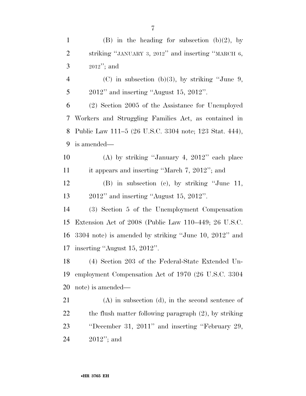| $\mathbf{1}$   | (B) in the heading for subsection (b)(2), by             |
|----------------|----------------------------------------------------------|
| $\overline{2}$ | striking "JANUARY 3, 2012" and inserting "MARCH 6,       |
| 3              | $2012$ "; and                                            |
| $\overline{4}$ | (C) in subsection (b)(3), by striking "June 9,           |
| 5              | $2012"$ and inserting "August 15, 2012".                 |
| 6              | (2) Section 2005 of the Assistance for Unemployed        |
| 7              | Workers and Struggling Families Act, as contained in     |
| 8              | Public Law 111–5 (26 U.S.C. 3304 note; 123 Stat. 444),   |
| 9              | is amended—                                              |
| 10             | (A) by striking "January 4, $2012$ " each place          |
| 11             | it appears and inserting "March 7, 2012"; and            |
| 12             | $(B)$ in subsection (c), by striking "June 11,           |
| 13             | $2012"$ and inserting "August 15, 2012".                 |
| 14             | (3) Section 5 of the Unemployment Compensation           |
| 15             | Extension Act of 2008 (Public Law 110–449; 26 U.S.C.     |
| 16             | $3304$ note) is amended by striking "June 10, 2012" and  |
| 17             | inserting "August 15, 2012".                             |
| 18             | (4) Section 203 of the Federal-State Extended Un-        |
| 19             | employment Compensation Act of 1970 (26 U.S.C. 3304)     |
| 20             | note) is amended—                                        |
| 21             | $(A)$ in subsection $(d)$ , in the second sentence of    |
| 22             | the flush matter following paragraph $(2)$ , by striking |
| 23             | "December 31, 2011" and inserting "February 29,          |
| 24             | $2012$ "; and                                            |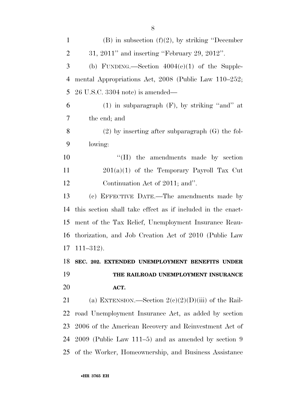| $\mathbf{1}$   | (B) in subsection $(f)(2)$ , by striking "December"         |
|----------------|-------------------------------------------------------------|
| $\overline{2}$ | $31, 2011"$ and inserting "February 29, 2012".              |
| 3              | (b) FUNDING.—Section $4004(e)(1)$ of the Supple-            |
| $\overline{4}$ | mental Appropriations Act, 2008 (Public Law 110–252;        |
| 5              | $26$ U.S.C. 3304 note) is amended—                          |
| 6              | $(1)$ in subparagraph $(F)$ , by striking "and" at          |
| $\overline{7}$ | the end; and                                                |
| 8              | $(2)$ by inserting after subparagraph $(G)$ the fol-        |
| 9              | lowing:                                                     |
| 10             | $\rm``(H)$<br>the amendments made by section                |
| 11             | $201(a)(1)$ of the Temporary Payroll Tax Cut                |
| 12             | Continuation Act of 2011; and".                             |
| 13             | (c) EFFECTIVE DATE.—The amendments made by                  |
| 14             | this section shall take effect as if included in the enact- |
| 15             | ment of the Tax Relief, Unemployment Insurance Reau-        |
| 16             | thorization, and Job Creation Act of 2010 (Public Law       |
| 17             | $111 - 312$ .                                               |
|                | 18 SEC. 202. EXTENDED UNEMPLOYMENT BENEFITS UNDER           |
| 19             | THE RAILROAD UNEMPLOYMENT INSURANCE                         |
| 20             | ACT.                                                        |
| 21             | (a) EXTENSION.—Section $2(c)(2)(D)(iii)$ of the Rail-       |
| 22             | road Unemployment Insurance Act, as added by section        |
| 23             | 2006 of the American Recovery and Reinvestment Act of       |
| 24             | $2009$ (Public Law 111–5) and as amended by section 9       |
| 25             | of the Worker, Homeownership, and Business Assistance       |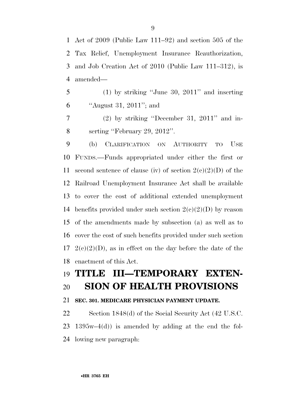Act of 2009 (Public Law 111–92) and section 505 of the Tax Relief, Unemployment Insurance Reauthorization, and Job Creation Act of 2010 (Public Law 111–312), is amended—

 (1) by striking ''June 30, 2011'' and inserting ''August 31, 2011''; and

 (2) by striking ''December 31, 2011'' and in-serting ''February 29, 2012''.

 (b) CLARIFICATION ON AUTHORITY TO USE FUNDS.—Funds appropriated under either the first or 11 second sentence of clause (iv) of section  $2(e)(2)(D)$  of the Railroad Unemployment Insurance Act shall be available to cover the cost of additional extended unemployment 14 benefits provided under such section  $2(e)(2)(D)$  by reason of the amendments made by subsection (a) as well as to cover the cost of such benefits provided under such section  $2(e)(2)(D)$ , as in effect on the day before the date of the enactment of this Act.

### **TITLE III—TEMPORARY EXTEN-SION OF HEALTH PROVISIONS**

### **SEC. 301. MEDICARE PHYSICIAN PAYMENT UPDATE.**

 Section 1848(d) of the Social Security Act (42 U.S.C. 1395w–4(d)) is amended by adding at the end the fol-lowing new paragraph: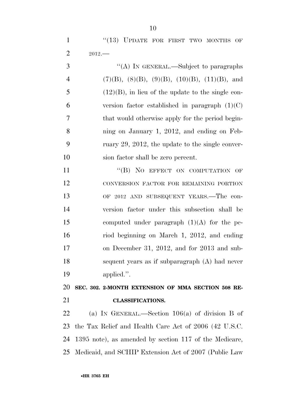1 "(13) UPDATE FOR FIRST TWO MONTHS OF 2012.—

3 "(A) IN GENERAL.—Subject to paragraphs 4 (7)(B), (8)(B), (9)(B), (10)(B), (11)(B), and (12)(B), in lieu of the update to the single con-6 version factor established in paragraph  $(1)(C)$  that would otherwise apply for the period begin- ning on January 1, 2012, and ending on Feb- ruary 29, 2012, the update to the single conver-sion factor shall be zero percent.

11 "(B) NO EFFECT ON COMPUTATION OF CONVERSION FACTOR FOR REMAINING PORTION OF 2012 AND SUBSEQUENT YEARS.—The con- version factor under this subsection shall be computed under paragraph (1)(A) for the pe- riod beginning on March 1, 2012, and ending on December 31, 2012, and for 2013 and sub- sequent years as if subparagraph (A) had never applied.''.

 **SEC. 302. 2-MONTH EXTENSION OF MMA SECTION 508 RE-CLASSIFICATIONS.** 

 (a) IN GENERAL.—Section 106(a) of division B of the Tax Relief and Health Care Act of 2006 (42 U.S.C. 1395 note), as amended by section 117 of the Medicare, Medicaid, and SCHIP Extension Act of 2007 (Public Law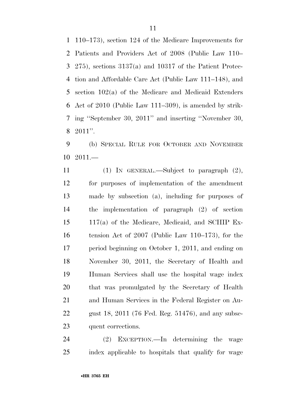110–173), section 124 of the Medicare Improvements for Patients and Providers Act of 2008 (Public Law 110– 275), sections 3137(a) and 10317 of the Patient Protec- tion and Affordable Care Act (Public Law 111–148), and section 102(a) of the Medicare and Medicaid Extenders Act of 2010 (Public Law 111–309), is amended by strik- ing ''September 30, 2011'' and inserting ''November 30, 2011''.

 (b) SPECIAL RULE FOR OCTOBER AND NOVEMBER 2011.—

 (1) IN GENERAL.—Subject to paragraph (2), for purposes of implementation of the amendment made by subsection (a), including for purposes of the implementation of paragraph (2) of section 117(a) of the Medicare, Medicaid, and SCHIP Ex- tension Act of 2007 (Public Law 110–173), for the period beginning on October 1, 2011, and ending on November 30, 2011, the Secretary of Health and Human Services shall use the hospital wage index that was promulgated by the Secretary of Health and Human Services in the Federal Register on Au- gust 18, 2011 (76 Fed. Reg. 51476), and any subse-quent corrections.

 (2) EXCEPTION.—In determining the wage index applicable to hospitals that qualify for wage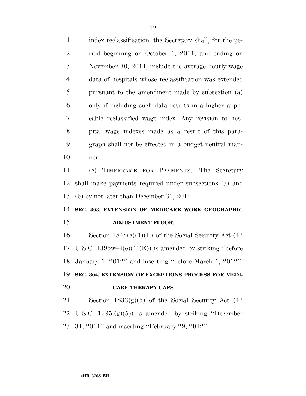| $\mathbf{1}$   | index reclassification, the Secretary shall, for the pe- |
|----------------|----------------------------------------------------------|
| $\overline{2}$ | riod beginning on October 1, 2011, and ending on         |
| 3              | November 30, 2011, include the average hourly wage       |
| $\overline{4}$ | data of hospitals whose reclassification was extended    |
| 5              | pursuant to the amendment made by subsection (a)         |
| 6              | only if including such data results in a higher appli-   |
| 7              | cable reclassified wage index. Any revision to hos-      |
| 8              | pital wage indexes made as a result of this para-        |
| 9              | graph shall not be effected in a budget neutral man-     |
| 10             | ner.                                                     |
| 11             | (c) TIMEFRAME FOR PAYMENTS.—The Secretary                |
| 12             | shall make payments required under subsections (a) and   |
| 13             | (b) by not later than December 31, 2012.                 |
| 14             | SEC. 303. EXTENSION OF MEDICARE WORK GEOGRAPHIC          |
| 15             | <b>ADJUSTMENT FLOOR.</b>                                 |
| 16             | Section $1848(e)(1)(E)$ of the Social Security Act (42)  |
| 17             | U.S.C. $1395w-4(e)(1)(E)$ is amended by striking "before |
| 18             | January 1, 2012" and inserting "before March 1, 2012".   |
| 19             | SEC. 304. EXTENSION OF EXCEPTIONS PROCESS FOR MEDI-      |
| 20             | <b>CARE THERAPY CAPS.</b>                                |
| 21             | Section $1833(g)(5)$ of the Social Security Act $(42)$   |
| 22             | U.S.C. $1395l(g)(5)$ is amended by striking "December"   |
| 23             | $31, 2011$ " and inserting "February 29, 2012".          |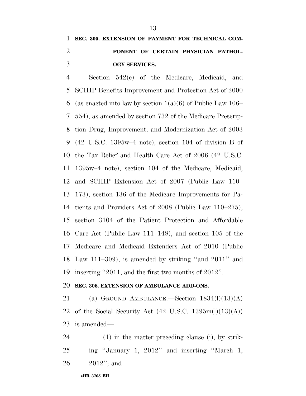### **SEC. 305. EXTENSION OF PAYMENT FOR TECHNICAL COM- PONENT OF CERTAIN PHYSICIAN PATHOL-OGY SERVICES.**

 Section 542(c) of the Medicare, Medicaid, and SCHIP Benefits Improvement and Protection Act of 2000 6 (as enacted into law by section  $1(a)(6)$  of Public Law 106– 554), as amended by section 732 of the Medicare Prescrip- tion Drug, Improvement, and Modernization Act of 2003 (42 U.S.C. 1395w–4 note), section 104 of division B of the Tax Relief and Health Care Act of 2006 (42 U.S.C. 1395w–4 note), section 104 of the Medicare, Medicaid, and SCHIP Extension Act of 2007 (Public Law 110– 173), section 136 of the Medicare Improvements for Pa- tients and Providers Act of 2008 (Public Law 110–275), section 3104 of the Patient Protection and Affordable Care Act (Public Law 111–148), and section 105 of the Medicare and Medicaid Extenders Act of 2010 (Public Law 111–309), is amended by striking ''and 2011'' and inserting ''2011, and the first two months of 2012''.

### **SEC. 306. EXTENSION OF AMBULANCE ADD-ONS.**

21 (a) GROUND AMBULANCE.—Section  $1834(l)(13)(A)$ 22 of the Social Security Act  $(42 \text{ U.S.C. } 1395 \text{m}(l)(13)(\text{A}))$ is amended—

 (1) in the matter preceding clause (i), by strik- ing ''January 1, 2012'' and inserting ''March 1, 2012''; and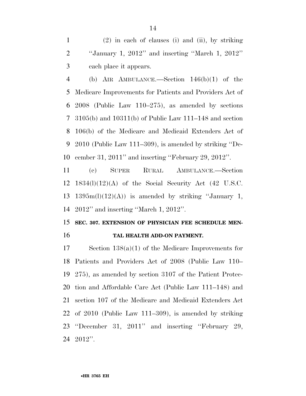(2) in each of clauses (i) and (ii), by striking ''January 1, 2012'' and inserting ''March 1, 2012'' each place it appears.

 (b) AIR AMBULANCE.—Section 146(b)(1) of the Medicare Improvements for Patients and Providers Act of 2008 (Public Law 110–275), as amended by sections 3105(b) and 10311(b) of Public Law 111–148 and section 106(b) of the Medicare and Medicaid Extenders Act of 2010 (Public Law 111–309), is amended by striking ''De-cember 31, 2011'' and inserting ''February 29, 2012''.

 (c) SUPER RURAL AMBULANCE.—Section 1834(l)(12)(A) of the Social Security Act (42 U.S.C. 13 1395 $m(l)(12)(A)$  is amended by striking "January 1, 2012'' and inserting ''March 1, 2012''.

### **SEC. 307. EXTENSION OF PHYSICIAN FEE SCHEDULE MEN-TAL HEALTH ADD-ON PAYMENT.**

 Section 138(a)(1) of the Medicare Improvements for Patients and Providers Act of 2008 (Public Law 110– 275), as amended by section 3107 of the Patient Protec- tion and Affordable Care Act (Public Law 111–148) and section 107 of the Medicare and Medicaid Extenders Act of 2010 (Public Law 111–309), is amended by striking ''December 31, 2011'' and inserting ''February 29, 2012''.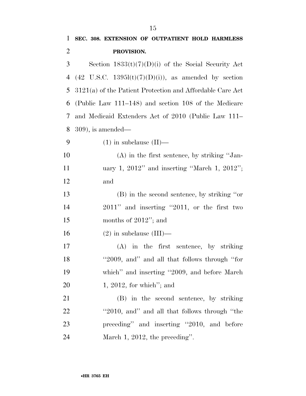| $\mathbf 1$    | SEC. 308. EXTENSION OF OUTPATIENT HOLD HARMLESS                  |
|----------------|------------------------------------------------------------------|
| $\overline{2}$ | PROVISION.                                                       |
| 3              | Section $1833(t)(7)(D)(i)$ of the Social Security Act            |
| 4              | $(42 \text{ U.S.C. } 1395l(t)(7)(D)(i))$ , as amended by section |
| 5              | $3121(a)$ of the Patient Protection and Affordable Care Act      |
| 6              | (Public Law 111–148) and section 108 of the Medicare             |
| 7              | and Medicaid Extenders Act of 2010 (Public Law 111-              |
| 8              | $(309)$ , is amended—                                            |
| 9              | $(1)$ in subclause $(II)$ —                                      |
| 10             | $(A)$ in the first sentence, by striking "Jan-                   |
| 11             | uary 1, $2012$ " and inserting "March 1, $2012$ ";               |
| 12             | and                                                              |
| 13             | (B) in the second sentence, by striking "or                      |
| 14             | $2011$ " and inserting "2011, or the first two                   |
| 15             | months of $2012$ "; and                                          |
| 16             | $(2)$ in subclause $(III)$ —                                     |
| 17             | $(A)$ in the first sentence, by striking                         |
| 18             | "2009, and" and all that follows through "for                    |
| 19             | which" and inserting "2009, and before March                     |
| <b>20</b>      | $1, 2012$ , for which"; and                                      |
| 21             | (B) in the second sentence, by striking                          |
| <u>22</u>      | "2010, and" and all that follows through "the                    |
| 23             | preceding" and inserting "2010, and before                       |
| 24             | March 1, 2012, the preceding".                                   |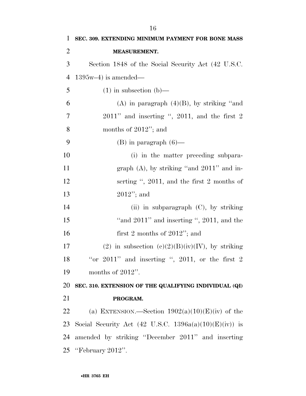| $\mathbf{1}$   | SEC. 309. EXTENDING MINIMUM PAYMENT FOR BONE MASS      |
|----------------|--------------------------------------------------------|
| $\overline{2}$ | <b>MEASUREMENT.</b>                                    |
| 3              | Section 1848 of the Social Security Act (42 U.S.C.)    |
| $\overline{4}$ | $1395w-4$ ) is amended—                                |
| 5              | $(1)$ in subsection $(b)$ —                            |
| 6              | (A) in paragraph $(4)(B)$ , by striking "and           |
| 7              | $2011$ " and inserting ", $2011$ , and the first 2     |
| 8              | months of $2012$ "; and                                |
| 9              | $(B)$ in paragraph $(6)$ —                             |
| 10             | (i) in the matter preceding subpara-                   |
| 11             | graph $(A)$ , by striking "and $2011$ " and in-        |
| 12             | serting $\degree$ , 2011, and the first 2 months of    |
| 13             | $2012$ "; and                                          |
| 14             | (ii) in subparagraph $(C)$ , by striking               |
| 15             | "and $2011$ " and inserting ", $2011$ , and the        |
| 16             | first 2 months of $2012$ "; and                        |
| 17             | (2) in subsection (c)(2)(B)(iv)(IV), by striking       |
| 18             | "or $2011$ " and inserting ", $2011$ , or the first 2  |
| 19             | months of $2012$ ".                                    |
| 20             | SEC. 310. EXTENSION OF THE QUALIFYING INDIVIDUAL (QI)  |
| 21             | PROGRAM.                                               |
| 22             | (a) EXTENSION.—Section $1902(a)(10)(E)(iv)$ of the     |
| 23             | Social Security Act (42 U.S.C. 1396a(a)(10)(E)(iv)) is |
| 24             | amended by striking "December 2011" and inserting      |
|                | 25 "February 2012".                                    |
|                |                                                        |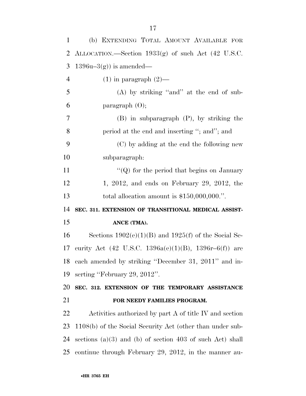| $\mathbf{1}$                           | (b) EXTENDING TOTAL AMOUNT AVAILABLE FOR                      |
|----------------------------------------|---------------------------------------------------------------|
| $\overline{2}$                         | ALLOCATION.—Section 1933(g) of such Act (42 U.S.C.            |
| 3                                      | $1396u-3(g)$ is amended—                                      |
| $\overline{4}$                         | $(1)$ in paragraph $(2)$ —                                    |
| 5                                      | $(A)$ by striking "and" at the end of sub-                    |
| 6                                      | paragraph $(0)$ ;                                             |
| 7                                      | $(B)$ in subparagraph $(P)$ , by striking the                 |
| 8                                      | period at the end and inserting "; and"; and                  |
| 9                                      | (C) by adding at the end the following new                    |
| 10                                     | subparagraph:                                                 |
| 11                                     | "( $Q$ ) for the period that begins on January                |
| 12                                     | $1, 2012,$ and ends on February 29, 2012, the                 |
| 13                                     | total allocation amount is $$150,000,000."$ .                 |
| 14                                     | SEC. 311. EXTENSION OF TRANSITIONAL MEDICAL ASSIST-           |
| 15                                     | ANCE (TMA).                                                   |
|                                        |                                                               |
|                                        | Sections $1902(e)(1)(B)$ and $1925(f)$ of the Social Se-      |
|                                        | curity Act (42 U.S.C. 1396a(e)(1)(B), 1396r-6(f)) are         |
|                                        | 18 each amended by striking "December 31, 2011" and in-       |
|                                        | serting "February 29, 2012".                                  |
|                                        | SEC. 312. EXTENSION OF THE TEMPORARY ASSISTANCE               |
|                                        | FOR NEEDY FAMILIES PROGRAM.                                   |
|                                        | Activities authorized by part A of title IV and section       |
| 16<br>17<br>19<br>20<br>21<br>22<br>23 | 1108(b) of the Social Security Act (other than under sub-     |
| 24                                     | sections $(a)(3)$ and $(b)$ of section 403 of such Act) shall |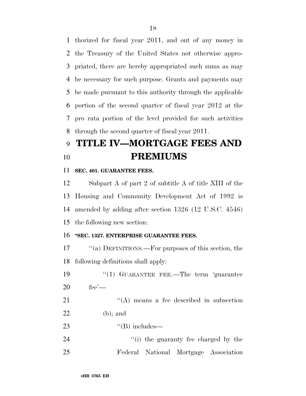thorized for fiscal year 2011, and out of any money in the Treasury of the United States not otherwise appro- priated, there are hereby appropriated such sums as may be necessary for such purpose. Grants and payments may be made pursuant to this authority through the applicable portion of the second quarter of fiscal year 2012 at the pro rata portion of the level provided for such activities through the second quarter of fiscal year 2011.

### **TITLE IV—MORTGAGE FEES AND PREMIUMS**

### **SEC. 401. GUARANTEE FEES.**

 Subpart A of part 2 of subtitle A of title XIII of the Housing and Community Development Act of 1992 is amended by adding after section 1326 (12 U.S.C. 4546) the following new section:

### **''SEC. 1327. ENTERPRISE GUARANTEE FEES.**

 ''(a) DEFINITIONS.—For purposes of this section, the following definitions shall apply:

19 ''(1) GUARANTEE FEE.—The term 'guarantee fee'—

21 ''(A) means a fee described in subsection (b); and

23  $"({\rm B})$  includes—

24 ''(i) the guaranty fee charged by the Federal National Mortgage Association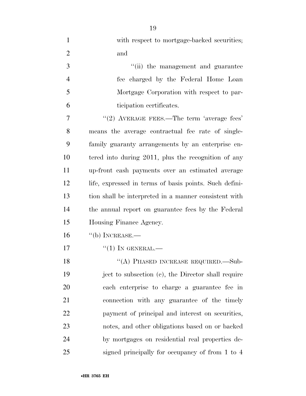| $\mathbf{1}$   | with respect to mortgage-backed securities;            |
|----------------|--------------------------------------------------------|
| $\overline{2}$ | and                                                    |
| 3              | "(ii) the management and guarantee                     |
| $\overline{4}$ | fee charged by the Federal Home Loan                   |
| 5              | Mortgage Corporation with respect to par-              |
| 6              | ticipation certificates.                               |
| 7              | "(2) AVERAGE FEES.—The term 'average fees'             |
| 8              | means the average contractual fee rate of single-      |
| 9              | family guaranty arrangements by an enterprise en-      |
| 10             | tered into during 2011, plus the recognition of any    |
| 11             | up-front cash payments over an estimated average       |
| 12             | life, expressed in terms of basis points. Such defini- |
| 13             | tion shall be interpreted in a manner consistent with  |
| 14             | the annual report on guarantee fees by the Federal     |
| 15             | Housing Finance Agency.                                |
| 16             | $``$ (b) INCREASE.—                                    |
| 17             | $``(1)$ IN GENERAL.—                                   |
| 18             | "(A) PHASED INCREASE REQUIRED.—Sub-                    |
| 19             | ject to subsection (c), the Director shall require     |
| 20             | each enterprise to charge a guarantee fee in           |
| 21             | connection with any guarantee of the timely            |
| 22             | payment of principal and interest on securities,       |
| 23             | notes, and other obligations based on or backed        |
| 24             | by mortgages on residential real properties de-        |
| 25             | signed principally for occupancy of from 1 to 4        |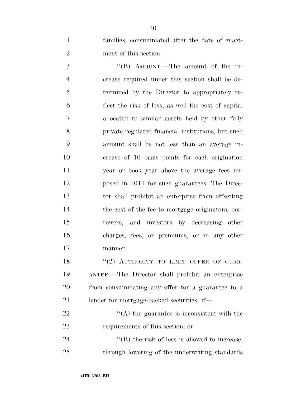families, consummated after the date of enact-ment of this section.

3 "'(B) AMOUNT.—The amount of the in- crease required under this section shall be de- termined by the Director to appropriately re- flect the risk of loss, as well the cost of capital allocated to similar assets held by other fully private regulated financial institutions, but such amount shall be not less than an average in- crease of 10 basis points for each origination year or book year above the average fees im- posed in 2011 for such guarantees. The Direc- tor shall prohibit an enterprise from offsetting the cost of the fee to mortgage originators, bor- rowers, and investors by decreasing other charges, fees, or premiums, or in any other manner.

18 "(2) AUTHORITY TO LIMIT OFFER OF GUAR- ANTEE.—The Director shall prohibit an enterprise from consummating any offer for a guarantee to a lender for mortgage-backed securities, if—

 $\mathcal{L}(A)$  the guarantee is inconsistent with the requirements of this section; or

24  $\text{``(B) the risk of loss is allowed to increase,}$ through lowering of the underwriting standards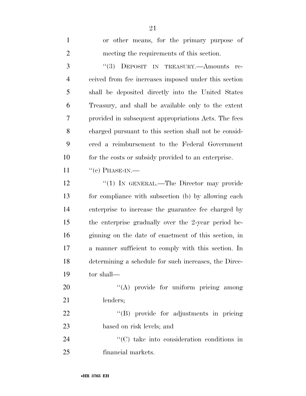| $\mathbf{1}$   | or other means, for the primary purpose of            |
|----------------|-------------------------------------------------------|
| $\overline{2}$ | meeting the requirements of this section.             |
| 3              | (3)<br>DEPOSIT IN TREASURY.-- Amounts re-             |
| $\overline{4}$ | ceived from fee increases imposed under this section  |
| 5              | shall be deposited directly into the United States    |
| 6              | Treasury, and shall be available only to the extent   |
| 7              | provided in subsequent appropriations Acts. The fees  |
| 8              | charged pursuant to this section shall not be consid- |
| 9              | ered a reimbursement to the Federal Government        |
| 10             | for the costs or subsidy provided to an enterprise.   |
| 11             | $``(c)$ PHASE-IN.—                                    |
| 12             | "(1) IN GENERAL.—The Director may provide             |
| 13             | for compliance with subsection (b) by allowing each   |
| 14             | enterprise to increase the guarantee fee charged by   |
| 15             | the enterprise gradually over the 2-year period be-   |
| 16             | ginning on the date of enactment of this section, in  |
| 17             | a manner sufficient to comply with this section. In   |
| 18             | determining a schedule for such increases, the Direc- |
| 19             | tor shall-                                            |
| 20             | "(A) provide for uniform pricing among                |
| 21             | lenders;                                              |
| 22             | "(B) provide for adjustments in pricing               |
| 23             | based on risk levels; and                             |
| 24             | "(C) take into consideration conditions in            |
| 25             | financial markets.                                    |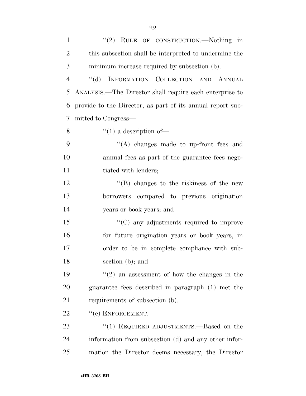| $\mathbf{1}$   | "(2) RULE OF CONSTRUCTION.—Nothing in                      |
|----------------|------------------------------------------------------------|
| $\overline{2}$ | this subsection shall be interpreted to undermine the      |
| 3              | minimum increase required by subsection (b).               |
| $\overline{4}$ | "(d) INFORMATION COLLECTION AND ANNUAL                     |
| 5              | ANALYSIS.—The Director shall require each enterprise to    |
| 6              | provide to the Director, as part of its annual report sub- |
| 7              | mitted to Congress—                                        |
| 8              | $\lq(1)$ a description of —                                |
| 9              | "(A) changes made to up-front fees and                     |
| 10             | annual fees as part of the guarantee fees nego-            |
| 11             | tiated with lenders;                                       |
| 12             | $\lq\lq (B)$ changes to the riskiness of the new           |
| 13             | borrowers compared to previous origination                 |
| 14             | years or book years; and                                   |
| 15             | $\cdot$ (C) any adjustments required to improve            |
| 16             | for future origination years or book years, in             |
| 17             | order to be in complete compliance with sub-               |
| 18             | section (b); and                                           |
| 19             | $(2)$ an assessment of how the changes in the              |
| 20             | guarantee fees described in paragraph (1) met the          |
| 21             | requirements of subsection (b).                            |
| 22             | $``$ (e) ENFORCEMENT.—                                     |
| 23             | "(1) REQUIRED ADJUSTMENTS.—Based on the                    |
| 24             | information from subsection (d) and any other infor-       |
| 25             | mation the Director deems necessary, the Director          |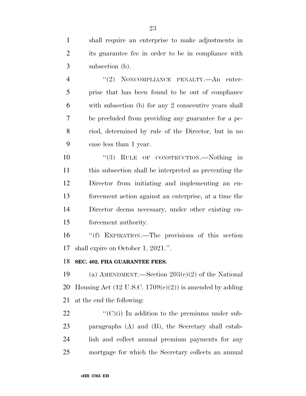shall require an enterprise to make adjustments in its guarantee fee in order to be in compliance with subsection (b).

4 "(2) NONCOMPLIANCE PENALTY.—An enter- prise that has been found to be out of compliance with subsection (b) for any 2 consecutive years shall be precluded from providing any guarantee for a pe- riod, determined by rule of the Director, but in no case less than 1 year.

 $\frac{10}{3}$  RULE OF CONSTRUCTION. Nothing in this subsection shall be interpreted as preventing the Director from initiating and implementing an en- forcement action against an enterprise, at a time the Director deems necessary, under other existing en-forcement authority.

 ''(f) EXPIRATION.—The provisions of this section shall expire on October 1, 2021.''.

### **SEC. 402. FHA GUARANTEE FEES.**

19 (a) AMENDMENT.—Section  $203(c)(2)$  of the National 20 Housing Act (12 U.S.C.  $1709(c)(2)$ ) is amended by adding at the end the following:

 $\langle ^{\prime}(C)(i) \rangle$  In addition to the premiums under sub- paragraphs (A) and (B), the Secretary shall estab- lish and collect annual premium payments for any mortgage for which the Secretary collects an annual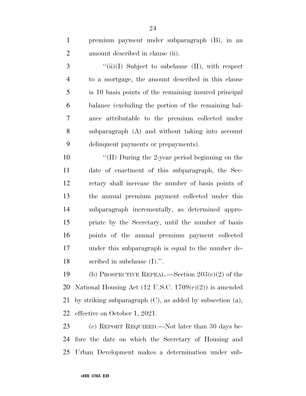premium payment under subparagraph (B), in an amount described in clause (ii).

3 "(ii)(I) Subject to subclause (II), with respect to a mortgage, the amount described in this clause is 10 basis points of the remaining insured principal balance (excluding the portion of the remaining bal- ance attributable to the premium collected under subparagraph (A) and without taking into account delinquent payments or prepayments).

10 ''(II) During the 2-year period beginning on the date of enactment of this subparagraph, the Sec- retary shall increase the number of basis points of the annual premium payment collected under this subparagraph incrementally, as determined appro- priate by the Secretary, until the number of basis points of the annual premium payment collected under this subparagraph is equal to the number de-scribed in subclause (I).''.

19 (b) PROSPECTIVE REPEAL.—Section  $203(c)(2)$  of the 20 National Housing Act  $(12 \text{ U.S.C. } 1709(e)(2))$  is amended by striking subparagraph (C), as added by subsection (a), effective on October 1, 2021.

 (c) REPORT REQUIRED.—Not later than 30 days be- fore the date on which the Secretary of Housing and Urban Development makes a determination under sub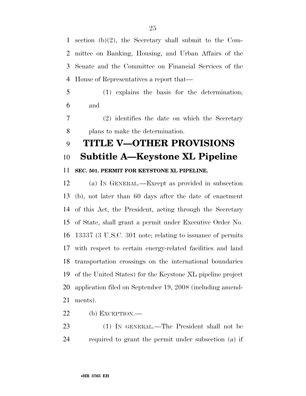section (b)(2), the Secretary shall submit to the Com- mittee on Banking, Housing, and Urban Affairs of the Senate and the Committee on Financial Services of the House of Representatives a report that—

 (1) explains the basis for the determination; and

 (2) identifies the date on which the Secretary plans to make the determination.

### **TITLE V—OTHER PROVISIONS**

### **Subtitle A—Keystone XL Pipeline**

### **SEC. 501. PERMIT FOR KEYSTONE XL PIPELINE.**

 (a) IN GENERAL.—Except as provided in subsection (b), not later than 60 days after the date of enactment of this Act, the President, acting through the Secretary of State, shall grant a permit under Executive Order No. 13337 (3 U.S.C. 301 note; relating to issuance of permits with respect to certain energy-related facilities and land transportation crossings on the international boundaries of the United States) for the Keystone XL pipeline project application filed on September 19, 2008 (including amend-ments).

(b) EXCEPTION.—

 (1) IN GENERAL.—The President shall not be required to grant the permit under subsection (a) if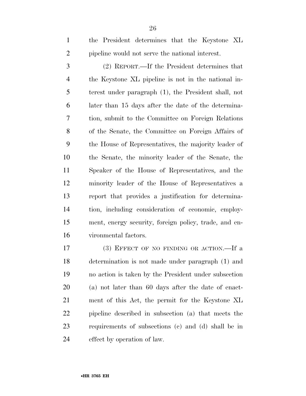(2) REPORT.—If the President determines that the Keystone XL pipeline is not in the national in- terest under paragraph (1), the President shall, not later than 15 days after the date of the determina- tion, submit to the Committee on Foreign Relations of the Senate, the Committee on Foreign Affairs of the House of Representatives, the majority leader of the Senate, the minority leader of the Senate, the Speaker of the House of Representatives, and the minority leader of the House of Representatives a report that provides a justification for determina- tion, including consideration of economic, employ- ment, energy security, foreign policy, trade, and en-vironmental factors.

17 (3) EFFECT OF NO FINDING OR ACTION. If a determination is not made under paragraph (1) and no action is taken by the President under subsection (a) not later than 60 days after the date of enact- ment of this Act, the permit for the Keystone XL pipeline described in subsection (a) that meets the requirements of subsections (c) and (d) shall be in effect by operation of law.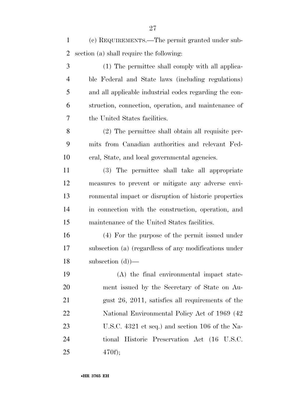(c) REQUIREMENTS.—The permit granted under sub-section (a) shall require the following:

 (1) The permittee shall comply with all applica- ble Federal and State laws (including regulations) and all applicable industrial codes regarding the con- struction, connection, operation, and maintenance of the United States facilities.

 (2) The permittee shall obtain all requisite per- mits from Canadian authorities and relevant Fed-eral, State, and local governmental agencies.

 (3) The permittee shall take all appropriate measures to prevent or mitigate any adverse envi- ronmental impact or disruption of historic properties in connection with the construction, operation, and maintenance of the United States facilities.

 (4) For the purpose of the permit issued under subsection (a) (regardless of any modifications under subsection (d))—

 (A) the final environmental impact state- ment issued by the Secretary of State on Au- gust 26, 2011, satisfies all requirements of the National Environmental Policy Act of 1969 (42 U.S.C. 4321 et seq.) and section 106 of the Na- tional Historic Preservation Act (16 U.S.C. 470f);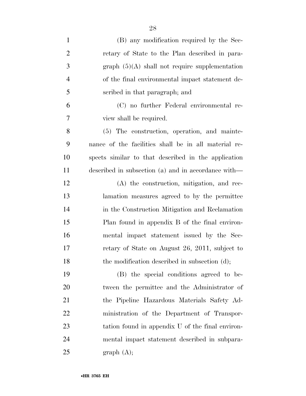| $\mathbf{1}$   | (B) any modification required by the Sec-            |
|----------------|------------------------------------------------------|
| $\overline{2}$ | retary of State to the Plan described in para-       |
| 3              | graph $(5)(A)$ shall not require supplementation     |
| $\overline{4}$ | of the final environmental impact statement de-      |
| $\mathfrak{S}$ | scribed in that paragraph; and                       |
| 6              | (C) no further Federal environmental re-             |
| 7              | view shall be required.                              |
| 8              | (5) The construction, operation, and mainte-         |
| 9              | nance of the facilities shall be in all material re- |
| 10             | spects similar to that described in the application  |
| 11             | described in subsection (a) and in accordance with—  |
| 12             | (A) the construction, mitigation, and rec-           |
| 13             | lamation measures agreed to by the permittee         |
| 14             | in the Construction Mitigation and Reclamation       |
| 15             | Plan found in appendix B of the final environ-       |
| 16             | mental impact statement issued by the Sec-           |
| 17             | retary of State on August 26, 2011, subject to       |
| 18             | the modification described in subsection (d);        |
| 19             | (B) the special conditions agreed to be-             |
| 20             | tween the permittee and the Administrator of         |
| 21             | the Pipeline Hazardous Materials Safety Ad-          |
| 22             | ministration of the Department of Transpor-          |
| 23             | tation found in appendix U of the final environ-     |
| 24             | mental impact statement described in subpara-        |
| 25             | graph (A);                                           |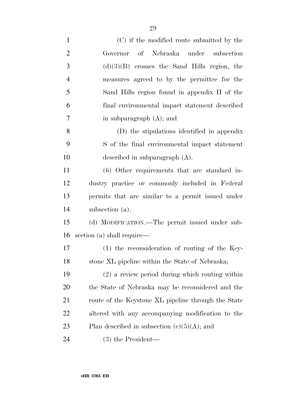| $\mathbf{1}$   | (C) if the modified route submitted by the          |
|----------------|-----------------------------------------------------|
| $\overline{2}$ | Governor of Nebraska under subsection               |
| 3              | $(d)(3)(B)$ crosses the Sand Hills region, the      |
| $\overline{4}$ | measures agreed to by the permittee for the         |
| 5              | Sand Hills region found in appendix H of the        |
| 6              | final environmental impact statement described      |
| $\overline{7}$ | in subparagraph $(A)$ ; and                         |
| 8              | (D) the stipulations identified in appendix         |
| 9              | S of the final environmental impact statement       |
| 10             | described in subparagraph $(A)$ .                   |
| 11             | (6) Other requirements that are standard in-        |
| 12             | dustry practice or commonly included in Federal     |
| 13             | permits that are similar to a permit issued under   |
| 14             | subsection (a).                                     |
| 15             | (d) MODIFICATION.—The permit issued under sub-      |
| 16             | section (a) shall require—                          |
| 17             | $(1)$ the reconsideration of routing of the Key-    |
| 18             | stone XL pipeline within the State of Nebraska;     |
| 19             | $(2)$ a review period during which routing within   |
| 20             | the State of Nebraska may be reconsidered and the   |
| 21             | route of the Keystone XL pipeline through the State |
| 22             | altered with any accompanying modification to the   |
| 23             | Plan described in subsection $(c)(5)(A)$ ; and      |
| 24             | $(3)$ the President—                                |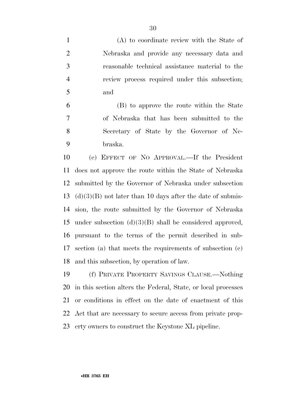(A) to coordinate review with the State of Nebraska and provide any necessary data and reasonable technical assistance material to the review process required under this subsection; and

 (B) to approve the route within the State of Nebraska that has been submitted to the Secretary of State by the Governor of Ne-braska.

 (e) EFFECT OF NO APPROVAL.—If the President does not approve the route within the State of Nebraska submitted by the Governor of Nebraska under subsection 13 (d)(3)(B) not later than 10 days after the date of submis- sion, the route submitted by the Governor of Nebraska under subsection (d)(3)(B) shall be considered approved, pursuant to the terms of the permit described in sub- section (a) that meets the requirements of subsection (c) and this subsection, by operation of law.

 (f) PRIVATE PROPERTY SAVINGS CLAUSE.—Nothing in this section alters the Federal, State, or local processes or conditions in effect on the date of enactment of this Act that are necessary to secure access from private prop-erty owners to construct the Keystone XL pipeline.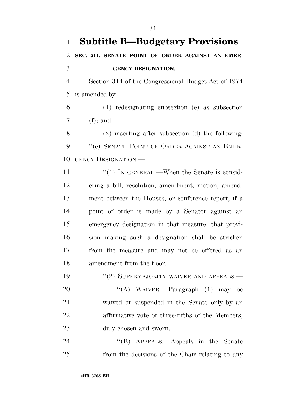| $\mathbf{1}$   | <b>Subtitle B—Budgetary Provisions</b>                |
|----------------|-------------------------------------------------------|
| 2              | SEC. 511. SENATE POINT OF ORDER AGAINST AN EMER-      |
| 3              | <b>GENCY DESIGNATION.</b>                             |
| $\overline{4}$ | Section 314 of the Congressional Budget Act of 1974   |
| 5              | is amended by—                                        |
| 6              | (1) redesignating subsection (e) as subsection        |
| 7              | $(f);$ and                                            |
| 8              | $(2)$ inserting after subsection $(d)$ the following: |
| 9              | "(e) SENATE POINT OF ORDER AGAINST AN EMER-           |
| 10             | <b>GENCY DESIGNATION.—</b>                            |
| 11             | "(1) IN GENERAL.—When the Senate is consid-           |
| 12             | ering a bill, resolution, amendment, motion, amend-   |
| 13             | ment between the Houses, or conference report, if a   |
| 14             | point of order is made by a Senator against an        |
| 15             | emergency designation in that measure, that provi-    |
| 16             | sion making such a designation shall be stricken      |
| 17             | from the measure and may not be offered as an         |
| 18             | amendment from the floor.                             |
| 19             | $``(2)$ SUPERMAJORITY WAIVER AND APPEALS.—            |
| 20             | "(A) WAIVER.—Paragraph $(1)$ may be                   |
| 21             | waived or suspended in the Senate only by an          |
| <u>22</u>      | affirmative vote of three-fifths of the Members,      |
| 23             | duly chosen and sworn.                                |
| 24             | "(B) APPEALS.—Appeals in the Senate                   |
| 25             | from the decisions of the Chair relating to any       |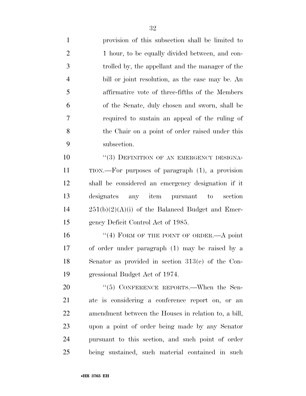provision of this subsection shall be limited to 2 1 hour, to be equally divided between, and con- trolled by, the appellant and the manager of the bill or joint resolution, as the case may be. An affirmative vote of three-fifths of the Members of the Senate, duly chosen and sworn, shall be required to sustain an appeal of the ruling of the Chair on a point of order raised under this subsection.

10 "(3) DEFINITION OF AN EMERGENCY DESIGNA- TION.—For purposes of paragraph (1), a provision shall be considered an emergency designation if it designates any item pursuant to section  $14 \qquad 251(b)(2)(A)(i)$  of the Balanced Budget and Emer-gency Deficit Control Act of 1985.

16 "(4) FORM OF THE POINT OF ORDER.—A point of order under paragraph (1) may be raised by a Senator as provided in section 313(e) of the Con-gressional Budget Act of 1974.

20 "(5) CONFERENCE REPORTS.—When the Sen- ate is considering a conference report on, or an amendment between the Houses in relation to, a bill, upon a point of order being made by any Senator pursuant to this section, and such point of order being sustained, such material contained in such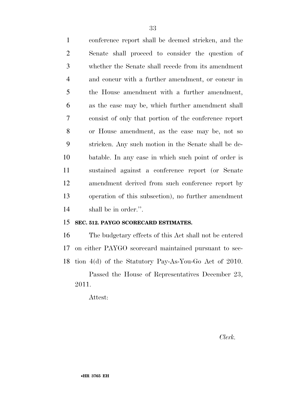conference report shall be deemed stricken, and the Senate shall proceed to consider the question of whether the Senate shall recede from its amendment and concur with a further amendment, or concur in the House amendment with a further amendment, as the case may be, which further amendment shall consist of only that portion of the conference report or House amendment, as the case may be, not so stricken. Any such motion in the Senate shall be de- batable. In any case in which such point of order is sustained against a conference report (or Senate amendment derived from such conference report by operation of this subsection), no further amendment shall be in order.''.

### **SEC. 512. PAYGO SCORECARD ESTIMATES.**

 The budgetary effects of this Act shall not be entered on either PAYGO scorecard maintained pursuant to sec-tion 4(d) of the Statutory Pay-As-You-Go Act of 2010.

Passed the House of Representatives December 23, 2011.

Attest:

*Clerk.*